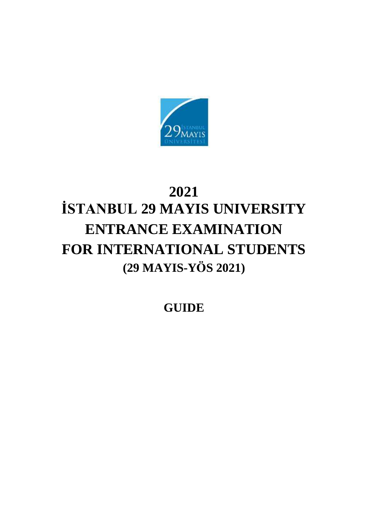

# **2021 İSTANBUL 29 MAYIS UNIVERSITY ENTRANCE EXAMINATION FOR INTERNATIONAL STUDENTS (29 MAYIS-YÖS 2021)**

**GUIDE**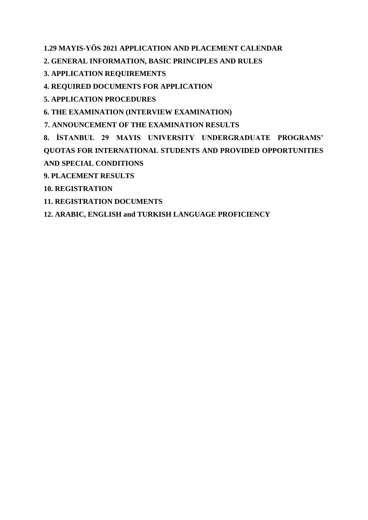**1.29 MAYIS-YÖS 2021 APPLICATION AND PLACEMENT CALENDAR**

**2. GENERAL INFORMATION, BASIC PRINCIPLES AND RULES**

**3. APPLICATION REQUIREMENTS**

**4. REQUIRED DOCUMENTS FOR APPLICATION**

**5. APPLICATION PROCEDURES**

**6. THE EXAMINATION (INTERVIEW EXAMINATION)**

**7. ANNOUNCEMENT OF THE EXAMINATION RESULTS**

**8. İSTANBUL 29 MAYIS UNIVERSITY UNDERGRADUATE PROGRAMS' QUOTAS FOR INTERNATIONAL STUDENTS AND PROVIDED OPPORTUNITIES AND SPECIAL CONDITIONS**

**9. PLACEMENT RESULTS**

**10. REGISTRATION**

**11. REGISTRATION DOCUMENTS**

**12. ARABIC, ENGLISH and TURKISH LANGUAGE PROFICIENCY**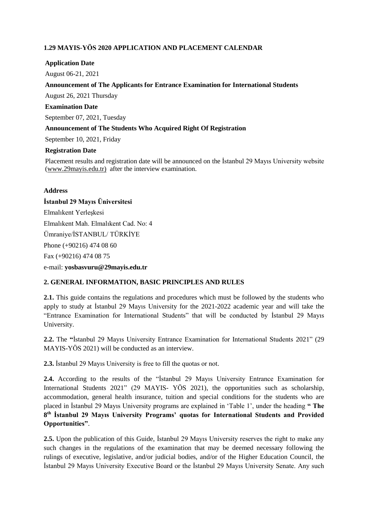# **1.29 MAYIS-YÖS 2020 APPLICATION AND PLACEMENT CALENDAR**

## **Application Date**

August 06-21, 2021

## **Announcement of The Applicants for Entrance Examination for International Students**

August 26, 2021 Thursday

## **Examination Date**

September 07, 2021, Tuesday

## **Announcement of The Students Who Acquired Right Of Registration**

September 10, 2021, Friday

## **Registration Date**

Placement results and registration date will be announced on the İstanbul 29 Mayıs University website [\(www.29mayis.edu.tr\)](../Users/ndurukan/AppData/Local/Microsoft/Windows/Sinanoğlu/AppData/Local/Microsoft/Windows/Temporary%20Internet%20Files/Downloads/www.29mayis.edu.tr) after the interview examination.

#### **Address**

## **İstanbul 29 Mayıs Üniversitesi**

Elmalıkent Yerleşkesi Elmalıkent Mah. Elmalıkent Cad. No: 4 Ümraniye/İSTANBUL/ TÜRKİYE Phone (+90216) 474 08 60 Fax (+90216) 474 08 75

e-mail: **yo[sbasvuru@29mayis.edu.tr](mailto:basvuru@29mayis.edu.tr)**

#### **2. GENERAL INFORMATION, BASIC PRINCIPLES AND RULES**

**2.1.** This guide contains the regulations and procedures which must be followed by the students who apply to study at İstanbul 29 Mayıs University for the 2021-2022 academic year and will take the "Entrance Examination for International Students" that will be conducted by İstanbul 29 Mayıs University.

**2.2.** The **"**İstanbul 29 Mayıs University Entrance Examination for International Students 2021" (29 MAYIS-YÖS 2021) will be conducted as an interview.

**2.3.** İstanbul 29 Mayıs University is free to fill the quotas or not.

**2.4.** According to the results of the "İstanbul 29 Mayıs University Entrance Examination for International Students 2021" (29 MAYIS- YÖS 2021), the opportunities such as scholarship, accommodation, general health insurance, tuition and special conditions for the students who are placed in İstanbul 29 Mayıs University programs are explained in 'Table 1', under the heading **" The 8 th İstanbul 29 Mayıs University Programs' quotas for International Students and Provided Opportunities"**.

**2.5.** Upon the publication of this Guide, İstanbul 29 Mayıs University reserves the right to make any such changes in the regulations of the examination that may be deemed necessary following the rulings of executive, legislative, and/or judicial bodies, and/or of the Higher Education Council, the İstanbul 29 Mayıs University Executive Board or the İstanbul 29 Mayıs University Senate. Any such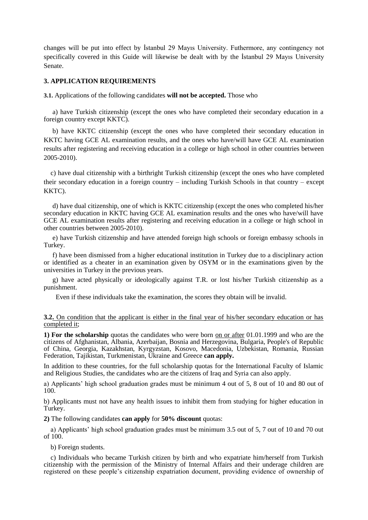changes will be put into effect by İstanbul 29 Mayıs University. Futhermore, any contingency not specifically covered in this Guide will likewise be dealt with by the İstanbul 29 Mayıs University Senate.

#### **3. APPLICATION REQUIREMENTS**

**3.1.** Applications of the following candidates **will not be accepted.** Those who

a) have Turkish citizenship (except the ones who have completed their secondary education in a foreign country except KKTC).

b) have KKTC citizenship (except the ones who have completed their secondary education in KKTC having GCE AL examination results, and the ones who have/will have GCE AL examination results after registering and receiving education in a college or high school in other countries between 2005-2010).

 c) have dual citizenship with a birthright Turkish citizenship (except the ones who have completed their secondary education in a foreign country – including Turkish Schools in that country – except KKTC).

d) have dual citizenship, one of which is KKTC citizenship (except the ones who completed his/her secondary education in KKTC having GCE AL examination results and the ones who have/will have GCE AL examination results after registering and receiving education in a college or high school in other countries between 2005-2010).

e) have Turkish citizenship and have attended foreign high schools or foreign embassy schools in Turkey.

f) have been dismissed from a higher educational institution in Turkey due to a disciplinary action or identified as a cheater in an examination given by OSYM or in the examinations given by the universities in Turkey in the previous years.

g) have acted physically or ideologically against T.R. or lost his/her Turkish citizenship as a punishment.

Even if these individuals take the examination, the scores they obtain will be invalid.

#### **3.2.** On condition that the applicant is either in the final year of his/her secondary education or has completed it;

**1) For the scholarship** quotas the candidates who were born on or after 01.01.1999 and who are the citizens of Afghanistan, Albania, Azerbaijan, Bosnia and Herzegovina, Bulgaria, People's of Republic of China, Georgia, Kazakhstan, Kyrgyzstan, Kosovo, Macedonia, Uzbekistan, Romania, Russian Federation, Tajikistan, Turkmenistan, Ukraine and Greece **can apply.**

In addition to these countries, for the full scholarship quotas for the International Faculty of Islamic and Religious Studies, the candidates who are the citizens of Iraq and Syria can also apply.

a) Applicants' high school graduation grades must be minimum 4 out of 5, 8 out of 10 and 80 out of 100.

b) Applicants must not have any health issues to inhibit them from studying for higher education in Turkey.

**2)** The following candidates **can apply** for **50% discount** quotas:

 a) Applicants' high school graduation grades must be minimum 3.5 out of 5, 7 out of 10 and 70 out of 100.

b) Foreign students.

 c) Individuals who became Turkish citizen by birth and who expatriate him/herself from Turkish citizenship with the permission of the Ministry of Internal Affairs and their underage children are registered on these people's citizenship expatriation document, providing evidence of ownership of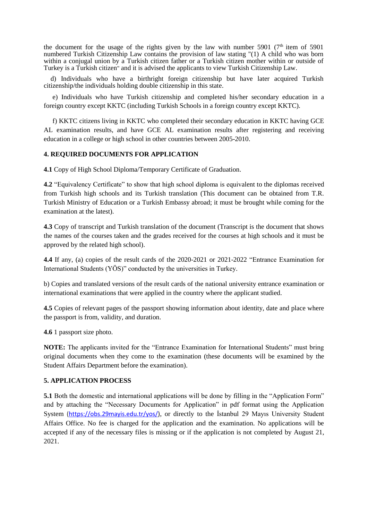the document for the usage of the rights given by the law with number 5901 ( $7<sup>th</sup>$  item of 5901) numbered Turkish Citizenship Law contains the provision of law stating "(1) A child who was born within a conjugal union by a Turkish citizen father or a Turkish citizen mother within or outside of Turkey is a Turkish citizen" and it is advised the applicants to view Turkish Citizenship Law.

 d) Individuals who have a birthright foreign citizenship but have later acquired Turkish citizenship/the individuals holding double citizenship in this state.

e) Individuals who have Turkish citizenship and completed his/her secondary education in a foreign country except KKTC (including Turkish Schools in a foreign country except KKTC).

f) KKTC citizens living in KKTC who completed their secondary education in KKTC having GCE AL examination results, and have GCE AL examination results after registering and receiving education in a college or high school in other countries between 2005-2010.

#### **4. REQUIRED DOCUMENTS FOR APPLICATION**

**4.1** Copy of High School Diploma/Temporary Certificate of Graduation.

**4.2** "Equivalency Certificate" to show that high school diploma is equivalent to the diplomas received from Turkish high schools and its Turkish translation (This document can be obtained from T.R. Turkish Ministry of Education or a Turkish Embassy abroad; it must be brought while coming for the examination at the latest).

**4.3** Copy of transcript and Turkish translation of the document (Transcript is the document that shows the names of the courses taken and the grades received for the courses at high schools and it must be approved by the related high school).

**4.4** If any, (a) copies of the result cards of the 2020-2021 or 2021-2022 "Entrance Examination for International Students (YÖS)" conducted by the universities in Turkey.

b) Copies and translated versions of the result cards of the national university entrance examination or international examinations that were applied in the country where the applicant studied.

**4.5** Copies of relevant pages of the passport showing information about identity, date and place where the passport is from, validity, and duration.

**4.6** 1 passport size photo.

**NOTE:** The applicants invited for the "Entrance Examination for International Students" must bring original documents when they come to the examination (these documents will be examined by the Student Affairs Department before the examination).

#### **5. APPLICATION PROCESS**

**5.1** Both the domestic and international applications will be done by filling in the "Application Form" and by attaching the "Necessary Documents for Application" in pdf format using the Application System [\(https://obs.29mayis.edu.tr/yos/\)](https://obs.29mayis.edu.tr/yos/), or directly to the İstanbul 29 Mayıs University Student Affairs Office. No fee is charged for the application and the examination. No applications will be accepted if any of the necessary files is missing or if the application is not completed by August 21, 2021.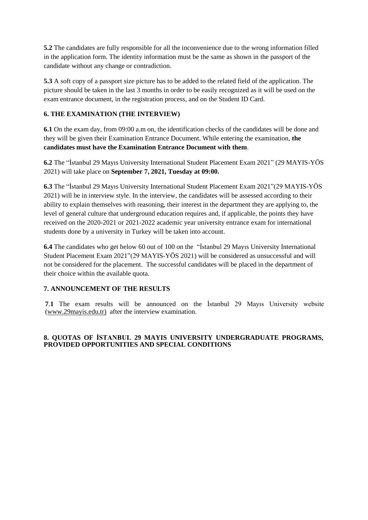**5.2** The candidates are fully responsible for all the inconvenience due to the wrong information filled in the application form. The identity information must be the same as shown in the passport of the candidate without any change or contradiction.

**5.3** A soft copy of a passport size picture has to be added to the related field of the application. The picture should be taken in the last 3 months in order to be easily recognized as it will be used on the exam entrance document, in the registration process, and on the Student ID Card.

# **6. THE EXAMINATION (THE INTERVIEW)**

**6.1** On the exam day, from 09:00 a.m on, the identification checks of the candidates will be done and they will be given their Examination Entrance Document. While entering the examination, **the candidates must have the Examination Entrance Document with them**.

**6.2** The "İstanbul 29 Mayıs University International Student Placement Exam 2021" (29 MAYIS-YÖS 2021) will take place on **September 7, 2021, Tuesday at 09:00.**

**6.3** The "İstanbul 29 Mayıs University International Student Placement Exam 2021"(29 MAYIS-YÖS 2021) will be in interview style. In the interview, the candidates will be assessed according to their ability to explain themselves with reasoning, their interest in the department they are applying to, the level of general culture that underground education requires and, if applicable, the points they have received on the 2020-2021 or 2021-2022 academic year university entrance exam for international students done by a university in Turkey will be taken into account.

**6.4** The candidates who get below 60 out of 100 on the "İstanbul 29 Mayıs University International Student Placement Exam 2021"(29 MAYIS-YÖS 2021) will be considered as unsuccessful and will not be considered for the placement. The successful candidates will be placed in the department of their choice within the available quota.

## **7. ANNOUNCEMENT OF THE RESULTS**

**7**.**1** The exam results will be announced on the İstanbul 29 Mayıs University website [\(www.29mayis.edu.tr\)](../Users/ndurukan/AppData/Local/Microsoft/Windows/Sinanoğlu/AppData/Local/Microsoft/Windows/Temporary%20Internet%20Files/Downloads/www.29mayis.edu.tr) after the interview examination.

## **8. QUOTAS OF İSTANBUL 29 MAYIS UNIVERSITY UNDERGRADUATE PROGRAMS, PROVIDED OPPORTUNITIES AND SPECIAL CONDITIONS**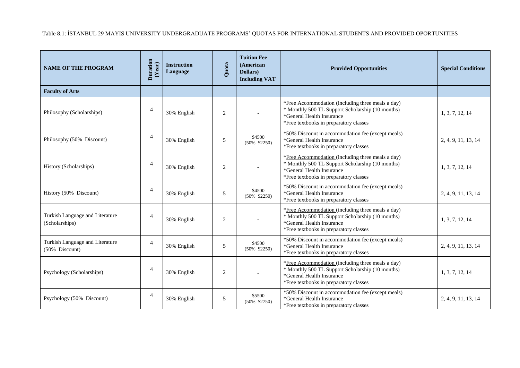Table 8.1: İSTANBUL 29 MAYIS UNIVERSITY UNDERGRADUATE PROGRAMS' QUOTAS FOR INTERNATIONAL STUDENTS AND PROVIDED OPORTUNITIES

| <b>NAME OF THE PROGRAM</b>                                   | $\begin{array}{c} \textbf{Duration} \\ (\textbf{Year}) \end{array}$ | <b>Instruction</b><br>Language | Quota          | <b>Tuition Fee</b><br>(American<br>Dollars)<br><b>Including VAT</b> | <b>Provided Opportunities</b>                                                                                                                                                | <b>Special Conditions</b> |
|--------------------------------------------------------------|---------------------------------------------------------------------|--------------------------------|----------------|---------------------------------------------------------------------|------------------------------------------------------------------------------------------------------------------------------------------------------------------------------|---------------------------|
| <b>Faculty of Arts</b>                                       |                                                                     |                                |                |                                                                     |                                                                                                                                                                              |                           |
| Philosophy (Scholarships)                                    | $\overline{4}$                                                      | 30% English                    | $\overline{2}$ |                                                                     | *Free Accommodation (including three meals a day)<br>* Monthly 500 TL Support Scholarship (10 months)<br>*General Health Insurance<br>*Free textbooks in preparatory classes | 1, 3, 7, 12, 14           |
| Philosophy (50% Discount)                                    | $\overline{4}$                                                      | 30% English                    | 5              | \$4500<br>$(50\% \t $2250)$                                         | *50% Discount in accommodation fee (except meals)<br>*General Health Insurance<br>*Free textbooks in preparatory classes                                                     | 2, 4, 9, 11, 13, 14       |
| History (Scholarships)                                       | $\overline{4}$                                                      | 30% English                    | $\overline{c}$ |                                                                     | *Free Accommodation (including three meals a day)<br>* Monthly 500 TL Support Scholarship (10 months)<br>*General Health Insurance<br>*Free textbooks in preparatory classes | 1, 3, 7, 12, 14           |
| History (50% Discount)                                       | $\overline{4}$                                                      | 30% English                    | 5              | \$4500<br>$(50\% \ \ $2250)$                                        | *50% Discount in accommodation fee (except meals)<br>*General Health Insurance<br>*Free textbooks in preparatory classes                                                     | 2, 4, 9, 11, 13, 14       |
| Turkish Language and Literature<br>(Scholarships)            | $\overline{4}$                                                      | 30% English                    | $\overline{2}$ |                                                                     | *Free Accommodation (including three meals a day)<br>* Monthly 500 TL Support Scholarship (10 months)<br>*General Health Insurance<br>*Free textbooks in preparatory classes | 1, 3, 7, 12, 14           |
| Turkish Language and Literature<br>$(50\% \text{ Discount})$ | $\overline{4}$                                                      | 30% English                    | 5              | \$4500<br>$(50\% \t $2250)$                                         | *50% Discount in accommodation fee (except meals)<br>*General Health Insurance<br>*Free textbooks in preparatory classes                                                     | 2, 4, 9, 11, 13, 14       |
| Psychology (Scholarships)                                    | $\overline{4}$                                                      | 30% English                    | $\overline{2}$ |                                                                     | *Free Accommodation (including three meals a day)<br>* Monthly 500 TL Support Scholarship (10 months)<br>*General Health Insurance<br>*Free textbooks in preparatory classes | 1, 3, 7, 12, 14           |
| Psychology (50% Discount)                                    | $\overline{4}$                                                      | 30% English                    | 5              | \$5500<br>$(50\% \t $2750)$                                         | *50% Discount in accommodation fee (except meals)<br>*General Health Insurance<br>*Free textbooks in preparatory classes                                                     | 2, 4, 9, 11, 13, 14       |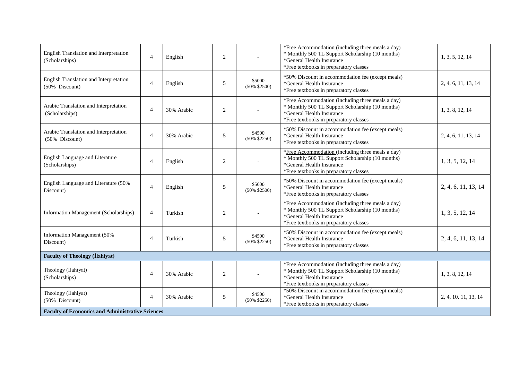| English Translation and Interpretation<br>(Scholarships) | $\overline{4}$ | English    | $\overline{2}$ |                            | *Free Accommodation (including three meals a day)<br>* Monthly 500 TL Support Scholarship (10 months)<br>*General Health Insurance<br>*Free textbooks in preparatory classes | 1, 3, 5, 12, 14      |  |
|----------------------------------------------------------|----------------|------------|----------------|----------------------------|------------------------------------------------------------------------------------------------------------------------------------------------------------------------------|----------------------|--|
| English Translation and Interpretation<br>(50% Discount) | $\overline{4}$ | English    | 5              | \$5000<br>$(50\% \ $2500)$ | *50% Discount in accommodation fee (except meals)<br>*General Health Insurance<br>*Free textbooks in preparatory classes                                                     | 2, 4, 6, 11, 13, 14  |  |
| Arabic Translation and Interpretation<br>(Scholarships)  | $\overline{4}$ | 30% Arabic | $\mathbf{2}$   |                            | *Free Accommodation (including three meals a day)<br>* Monthly 500 TL Support Scholarship (10 months)<br>*General Health Insurance<br>*Free textbooks in preparatory classes | 1, 3, 8, 12, 14      |  |
| Arabic Translation and Interpretation<br>(50% Discount)  | $\overline{4}$ | 30% Arabic | 5              | \$4500<br>$(50\% \$2250)$  | *50% Discount in accommodation fee (except meals)<br>*General Health Insurance<br>*Free textbooks in preparatory classes                                                     | 2, 4, 6, 11, 13, 14  |  |
| English Language and Literature<br>(Scholarships)        | $\overline{4}$ | English    | $\mathbf{2}$   |                            | *Free Accommodation (including three meals a day)<br>* Monthly 500 TL Support Scholarship (10 months)<br>*General Health Insurance<br>*Free textbooks in preparatory classes | 1, 3, 5, 12, 14      |  |
| English Language and Literature (50%<br>Discount)        | $\overline{4}$ | English    | 5              | \$5000<br>$(50\% \$2500)$  | *50% Discount in accommodation fee (except meals)<br>*General Health Insurance<br>*Free textbooks in preparatory classes                                                     | 2, 4, 6, 11, 13, 14  |  |
| Information Management (Scholarships)                    | $\overline{4}$ | Turkish    | $\overline{2}$ |                            | *Free Accommodation (including three meals a day)<br>* Monthly 500 TL Support Scholarship (10 months)<br>*General Health Insurance<br>*Free textbooks in preparatory classes | 1, 3, 5, 12, 14      |  |
| Information Management (50%<br>Discount)                 | $\overline{4}$ | Turkish    | $\sqrt{5}$     | \$4500<br>$(50\% \$2250)$  | *50% Discount in accommodation fee (except meals)<br>*General Health Insurance<br>*Free textbooks in preparatory classes                                                     | 2, 4, 6, 11, 13, 14  |  |
| <b>Faculty of Theology (Ilahiyat)</b>                    |                |            |                |                            |                                                                                                                                                                              |                      |  |
| Theology (İlahiyat)<br>(Scholarships)                    | 4              | 30% Arabic | $\overline{2}$ |                            | *Free Accommodation (including three meals a day)<br>* Monthly 500 TL Support Scholarship (10 months)<br>*General Health Insurance<br>*Free textbooks in preparatory classes | 1, 3, 8, 12, 14      |  |
| Theology (İlahiyat)<br>(50% Discount)                    | $\overline{4}$ | 30% Arabic | 5              | \$4500<br>$(50\% \ $2250)$ | *50% Discount in accommodation fee (except meals)<br>*General Health Insurance<br>*Free textbooks in preparatory classes                                                     | 2, 4, 10, 11, 13, 14 |  |
| <b>Faculty of Economics and Administrative Sciences</b>  |                |            |                |                            |                                                                                                                                                                              |                      |  |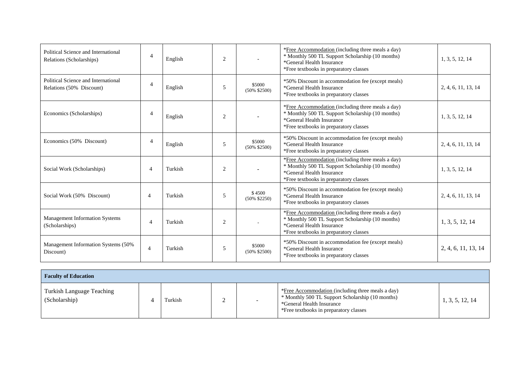| Political Science and International<br>Relations (Scholarships) | $\overline{4}$        | English | $\overline{2}$ |                           | *Free Accommodation (including three meals a day)<br>* Monthly 500 TL Support Scholarship (10 months)<br>*General Health Insurance<br>*Free textbooks in preparatory classes | 1, 3, 5, 12, 14     |
|-----------------------------------------------------------------|-----------------------|---------|----------------|---------------------------|------------------------------------------------------------------------------------------------------------------------------------------------------------------------------|---------------------|
| Political Science and International<br>Relations (50% Discount) | $\overline{4}$        | English | 5              | \$5000<br>$(50\% \$2500)$ | *50% Discount in accommodation fee (except meals)<br>*General Health Insurance<br>*Free textbooks in preparatory classes                                                     | 2, 4, 6, 11, 13, 14 |
| Economics (Scholarships)                                        | $\overline{4}$        | English | $\overline{2}$ |                           | *Free Accommodation (including three meals a day)<br>* Monthly 500 TL Support Scholarship (10 months)<br>*General Health Insurance<br>*Free textbooks in preparatory classes | 1, 3, 5, 12, 14     |
| Economics (50% Discount)                                        | $\overline{4}$        | English | 5              | \$5000<br>$(50\% \$2500)$ | *50% Discount in accommodation fee (except meals)<br>*General Health Insurance<br>*Free textbooks in preparatory classes                                                     | 2, 4, 6, 11, 13, 14 |
| Social Work (Scholarships)                                      | $\overline{4}$        | Turkish | $\overline{2}$ |                           | *Free Accommodation (including three meals a day)<br>* Monthly 500 TL Support Scholarship (10 months)<br>*General Health Insurance<br>*Free textbooks in preparatory classes | 1, 3, 5, 12, 14     |
| Social Work (50% Discount)                                      | $\boldsymbol{\Delta}$ | Turkish | 5              | \$4500<br>$(50\% \$2250)$ | *50% Discount in accommodation fee (except meals)<br>*General Health Insurance<br>*Free textbooks in preparatory classes                                                     | 2, 4, 6, 11, 13, 14 |
| <b>Management Information Systems</b><br>(Scholarships)         | $\overline{4}$        | Turkish | $\overline{2}$ |                           | *Free Accommodation (including three meals a day)<br>* Monthly 500 TL Support Scholarship (10 months)<br>*General Health Insurance<br>*Free textbooks in preparatory classes | 1, 3, 5, 12, 14     |
| Management Information Systems (50%)<br>Discount)               | $\overline{4}$        | Turkish | 5              | \$5000<br>$(50\% \$2500)$ | *50% Discount in accommodation fee (except meals)<br>*General Health Insurance<br>*Free textbooks in preparatory classes                                                     | 2, 4, 6, 11, 13, 14 |

| <b>Faculty of Education</b>                       |  |         |  |  |                                                                                                                                                                              |                 |  |
|---------------------------------------------------|--|---------|--|--|------------------------------------------------------------------------------------------------------------------------------------------------------------------------------|-----------------|--|
| <b>Turkish Language Teaching</b><br>(Scholarship) |  | Turkish |  |  | *Free Accommodation (including three meals a day)<br>* Monthly 500 TL Support Scholarship (10 months)<br>*General Health Insurance<br>*Free textbooks in preparatory classes | 1, 3, 5, 12, 14 |  |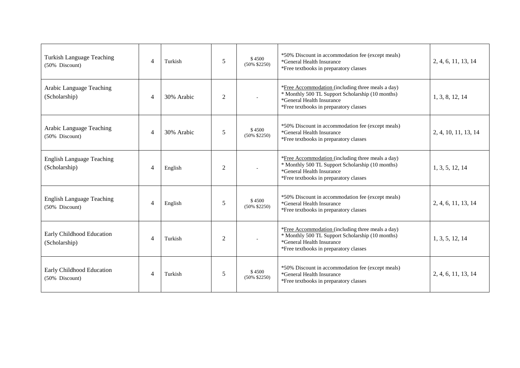| Turkish Language Teaching<br>(50% Discount)        | $\overline{A}$              | Turkish    | 5              | \$4500<br>$(50\% \text{ } $2250)$ | *50% Discount in accommodation fee (except meals)<br>*General Health Insurance<br>*Free textbooks in preparatory classes                                                     | 2, 4, 6, 11, 13, 14  |
|----------------------------------------------------|-----------------------------|------------|----------------|-----------------------------------|------------------------------------------------------------------------------------------------------------------------------------------------------------------------------|----------------------|
| Arabic Language Teaching<br>(Scholarship)          | $\overline{A}$              | 30% Arabic | 2              |                                   | *Free Accommodation (including three meals a day)<br>* Monthly 500 TL Support Scholarship (10 months)<br>*General Health Insurance<br>*Free textbooks in preparatory classes | 1, 3, 8, 12, 14      |
| Arabic Language Teaching<br>(50% Discount)         | $\overline{4}$              | 30% Arabic | 5              | \$4500<br>$(50\% \ $2250)$        | *50% Discount in accommodation fee (except meals)<br>*General Health Insurance<br>*Free textbooks in preparatory classes                                                     | 2, 4, 10, 11, 13, 14 |
| <b>English Language Teaching</b><br>(Scholarship)  | $\overline{4}$              | English    | 2              |                                   | *Free Accommodation (including three meals a day)<br>* Monthly 500 TL Support Scholarship (10 months)<br>*General Health Insurance<br>*Free textbooks in preparatory classes | 1, 3, 5, 12, 14      |
| <b>English Language Teaching</b><br>(50% Discount) | $\overline{4}$              | English    | 5              | \$4500<br>$(50\% \$2250)$         | *50% Discount in accommodation fee (except meals)<br>*General Health Insurance<br>*Free textbooks in preparatory classes                                                     | 2, 4, 6, 11, 13, 14  |
| Early Childhood Education<br>(Scholarship)         | $\overline{4}$              | Turkish    | $\overline{2}$ |                                   | *Free Accommodation (including three meals a day)<br>* Monthly 500 TL Support Scholarship (10 months)<br>*General Health Insurance<br>*Free textbooks in preparatory classes | 1, 3, 5, 12, 14      |
| Early Childhood Education<br>(50% Discount)        | $\boldsymbol{\vartriangle}$ | Turkish    | 5              | \$4500<br>$(50\% \$2250)$         | *50% Discount in accommodation fee (except meals)<br>*General Health Insurance<br>*Free textbooks in preparatory classes                                                     | 2, 4, 6, 11, 13, 14  |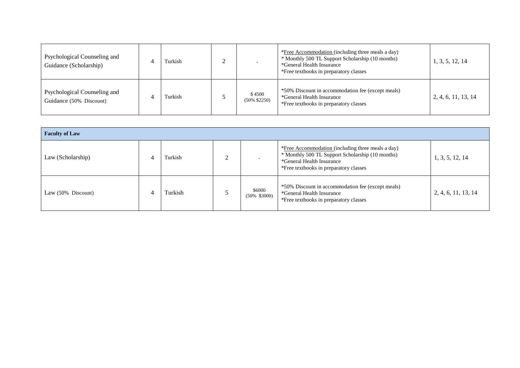| Psychological Counseling and<br>Guidance (Scholarship)  | Turkish |                           | *Free Accommodation (including three meals a day)<br>* Monthly 500 TL Support Scholarship (10 months)<br>*General Health Insurance<br>*Free textbooks in preparatory classes | 1, 3, 5, 12, 14     |
|---------------------------------------------------------|---------|---------------------------|------------------------------------------------------------------------------------------------------------------------------------------------------------------------------|---------------------|
| Psychological Counseling and<br>Guidance (50% Discount) | Turkish | \$4500<br>$(50\% \$2250)$ | *50% Discount in accommodation fee (except meals)<br>*General Health Insurance<br>*Free textbooks in preparatory classes                                                     | 2, 4, 6, 11, 13, 14 |

| <b>Faculty of Law</b> |  |         |  |                             |                                                                                                                                                                                     |                     |  |
|-----------------------|--|---------|--|-----------------------------|-------------------------------------------------------------------------------------------------------------------------------------------------------------------------------------|---------------------|--|
| Law (Scholarship)     |  | Turkish |  |                             | <i>*Free Accommodation (including three meals a day)</i><br>* Monthly 500 TL Support Scholarship (10 months)<br>*General Health Insurance<br>*Free textbooks in preparatory classes | 1, 3, 5, 12, 14     |  |
| Law (50% Discount)    |  | Turkish |  | \$6000<br>$(50\% \t $3000)$ | *50% Discount in accommodation fee (except meals)<br>*General Health Insurance<br>*Free textbooks in preparatory classes                                                            | 2, 4, 6, 11, 13, 14 |  |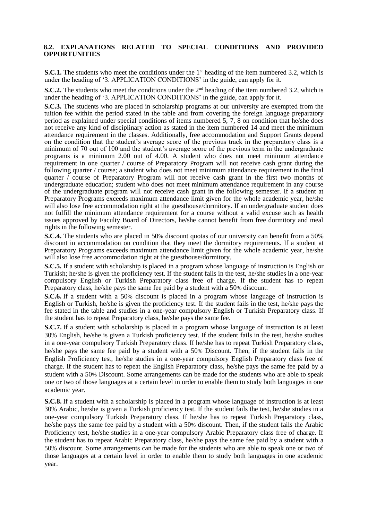#### **8.2. EXPLANATIONS RELATED TO SPECIAL CONDITIONS AND PROVIDED OPPORTUNITIES**

**S.C.1.** The students who meet the conditions under the  $1<sup>st</sup>$  heading of the item numbered 3.2, which is under the heading of '3. APPLICATION CONDITIONS' in the guide, can apply for it.

**S.C.2.** The students who meet the conditions under the  $2<sup>nd</sup>$  heading of the item numbered 3.2, which is under the heading of '3. APPLICATION CONDITIONS' in the guide, can apply for it.

**S.C.3.** The students who are placed in scholarship programs at our university are exempted from the tuition fee within the period stated in the table and from covering the foreign language preparatory period as explained under special conditions of items numbered 5, 7, 8 on condition that he/she does not receive any kind of disciplinary action as stated in the item numbered 14 and meet the minimum attendance requirement in the classes. Additionally, free accommodation and Support Grants depend on the condition that the student's average score of the previous track in the preparatory class is a minimum of 70 out of 100 and the student's average score of the previous term in the undergraduate programs is a minimum 2.00 out of 4.00. A student who does not meet minimum attendance requirement in one quarter / course of Preparatory Program will not receive cash grant during the following quarter / course; a student who does not meet minimum attendance requirement in the final quarter / course of Preparatory Program will not receive cash grant in the first two months of undergraduate education; student who does not meet minimum attendance requirement in any course of the undergraduate program will not receive cash grant in the following semester. If a student at Preparatory Programs exceeds maximum attendance limit given for the whole academic year, he/she will also lose free accommodation right at the guesthouse/dormitory. If an undergraduate student does not fulfill the minimum attendance requirement for a course without a valid excuse such as health issues approved by Faculty Board of Directors, he/she cannot benefit from free dormitory and meal rights in the following semester.

**S.C.4.** The students who are placed in 50% discount quotas of our university can benefit from a 50% discount in accommodation on condition that they meet the dormitory requirements. If a student at Preparatory Programs exceeds maximum attendance limit given for the whole academic year, he/she will also lose free accommodation right at the guesthouse/dormitory.

**S.C.5.** If a student with scholarship is placed in a program whose language of instruction is English or Turkish; he/she is given the proficiency test. If the student fails in the test, he/she studies in a one-year compulsory English or Turkish Preparatory class free of charge. If the student has to repeat Preparatory class, he/she pays the same fee paid by a student with a 50% discount.

**S.C.6.** If a student with a 50% discount is placed in a program whose language of instruction is English or Turkish, he/she is given the proficiency test. If the student fails in the test, he/she pays the fee stated in the table and studies in a one-year compulsory English or Turkish Preparatory class. If the student has to repeat Preparatory class, he/she pays the same fee.

**S.C.7.** If a student with scholarship is placed in a program whose language of instruction is at least 30% English, he/she is given a Turkish proficiency test. If the student fails in the test, he/she studies in a one-year compulsory Turkish Preparatory class. If he/she has to repeat Turkish Preparatory class, he/she pays the same fee paid by a student with a 50% Discount. Then, if the student fails in the English Proficiency test, he/she studies in a one-year compulsory English Preparatory class free of charge. If the student has to repeat the English Preparatory class, he/she pays the same fee paid by a student with a 50% Discount. Some arrangements can be made for the students who are able to speak one or two of those languages at a certain level in order to enable them to study both languages in one academic year.

**S.C.8.** If a student with a scholarship is placed in a program whose language of instruction is at least 30% Arabic, he/she is given a Turkish proficiency test. If the student fails the test, he/she studies in a one-year compulsory Turkish Preparatory class. If he/she has to repeat Turkish Preparatory class, he/she pays the same fee paid by a student with a 50% discount. Then, if the student fails the Arabic Proficiency test, he/she studies in a one-year compulsory Arabic Preparatory class free of charge. If the student has to repeat Arabic Preparatory class, he/she pays the same fee paid by a student with a 50% discount. Some arrangements can be made for the students who are able to speak one or two of those languages at a certain level in order to enable them to study both languages in one academic year.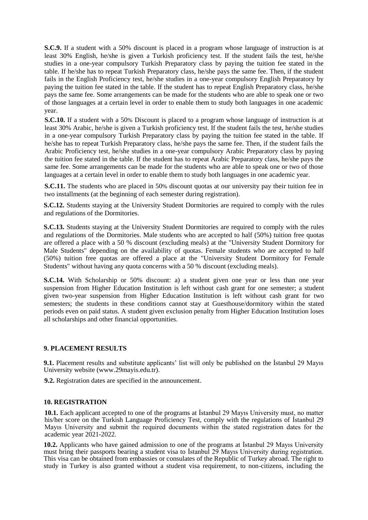**S.C.9.** If a student with a 50% discount is placed in a program whose language of instruction is at least 30% English, he/she is given a Turkish proficiency test. If the student fails the test, he/she studies in a one-year compulsory Turkish Preparatory class by paying the tuition fee stated in the table. If he/she has to repeat Turkish Preparatory class, he/she pays the same fee. Then, if the student fails in the English Proficiency test, he/she studies in a one-year compulsory English Preparatory by paying the tuition fee stated in the table. If the student has to repeat English Preparatory class, he/she pays the same fee. Some arrangements can be made for the students who are able to speak one or two of those languages at a certain level in order to enable them to study both languages in one academic year.

**S.C.10.** If a student with a 50% Discount is placed to a program whose language of instruction is at least 30% Arabic, he/she is given a Turkish proficiency test. If the student fails the test, he/she studies in a one-year compulsory Turkish Preparatory class by paying the tuition fee stated in the table. If he/she has to repeat Turkish Preparatory class, he/she pays the same fee. Then, if the student fails the Arabic Proficiency test, he/she studies in a one-year compulsory Arabic Preparatory class by paying the tuition fee stated in the table. If the student has to repeat Arabic Preparatory class, he/she pays the same fee. Some arrangements can be made for the students who are able to speak one or two of those languages at a certain level in order to enable them to study both languages in one academic year.

**S.C.11.** The students who are placed in 50% discount quotas at our university pay their tuition fee in two installments (at the beginning of each semester during registration).

**S.C.12.** Students staying at the University Student Dormitories are required to comply with the rules and regulations of the Dormitories.

**S.C.13.** Students staying at the University Student Dormitories are required to comply with the rules and regulations of the Dormitories. Male students who are accepted to half (50%) tuition free quotas are offered a place with a 50 % discount (excluding meals) at the "University Student Dormitory for Male Students" depending on the availability of quotas. Female students who are accepted to half (50%) tuition free quotas are offered a place at the "University Student Dormitory for Female Students" without having any quota concerns with a 50 % discount (excluding meals).

**S.C.14.** With Scholarship or 50% discount: a) a student given one year or less than one year suspension from Higher Education Institution is left without cash grant for one semester; a student given two-year suspension from Higher Education Institution is left without cash grant for two semesters; the students in these conditions cannot stay at Guesthouse/dormitory within the stated periods even on paid status. A student given exclusion penalty from Higher Education Institution loses all scholarships and other financial opportunities.

#### **9. PLACEMENT RESULTS**

**9.1.** Placement results and substitute applicants' list will only be published on the Istanbul 29 Mayıs University website (www.29mayis.edu.tr).

**9.2.** Registration dates are specified in the announcement.

#### **10. REGISTRATION**

**10.1.** Each applicant accepted to one of the programs at İstanbul 29 Mayıs University must, no matter his/her score on the Turkish Language Proficiency Test, comply with the regulations of İstanbul 29 Mayıs University and submit the required documents within the stated registration dates for the academic year 2021-2022.

**10.2.** Applicants who have gained admission to one of the programs at İstanbul 29 Mayıs University must bring their passports bearing a student visa to İstanbul 29 Mayıs University during registration. This visa can be obtained from embassies or consulates of the Republic of Turkey abroad. The right to study in Turkey is also granted without a student visa requirement, to non-citizens, including the